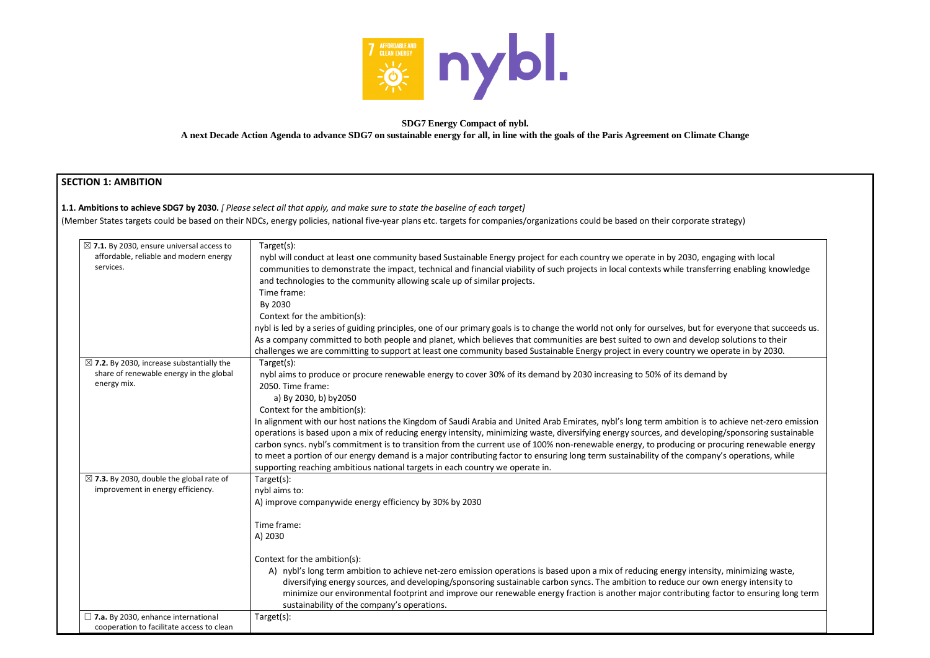

#### **SDG7 Energy Compact of nybl. A next Decade Action Agenda to advance SDG7 on sustainable energy for all, in line with the goals of the Paris Agreement on Climate Change**

## **SECTION 1: AMBITION**

**1.1. Ambitions to achieve SDG7 by 2030.** *[ Please select all that apply, and make sure to state the baseline of each target]* 

(Member States targets could be based on their NDCs, energy policies, national five-year plans etc. targets for companies/organizations could be based on their corporate strategy)

| $\boxtimes$ 7.1. By 2030, ensure universal access to<br>affordable, reliable and modern energy<br>services.    | Target(s):<br>nybl will conduct at least one community based Sustainable Energy project for each country we operate in by 2030, engagir<br>communities to demonstrate the impact, technical and financial viability of such projects in local contexts while transferring<br>and technologies to the community allowing scale up of similar projects.<br>Time frame:<br>By 2030                                                                                                                                                                                                                          |
|----------------------------------------------------------------------------------------------------------------|----------------------------------------------------------------------------------------------------------------------------------------------------------------------------------------------------------------------------------------------------------------------------------------------------------------------------------------------------------------------------------------------------------------------------------------------------------------------------------------------------------------------------------------------------------------------------------------------------------|
|                                                                                                                | Context for the ambition(s):<br>nybl is led by a series of guiding principles, one of our primary goals is to change the world not only for ourselves, but for eve<br>As a company committed to both people and planet, which believes that communities are best suited to own and develop sc<br>challenges we are committing to support at least one community based Sustainable Energy project in every country we oper                                                                                                                                                                                |
| $\boxtimes$ 7.2. By 2030, increase substantially the<br>share of renewable energy in the global<br>energy mix. | Target(s):<br>nybl aims to produce or procure renewable energy to cover 30% of its demand by 2030 increasing to 50% of its demand by<br>2050. Time frame:<br>a) By 2030, b) by 2050<br>Context for the ambition(s):                                                                                                                                                                                                                                                                                                                                                                                      |
|                                                                                                                | In alignment with our host nations the Kingdom of Saudi Arabia and United Arab Emirates, nybl's long term ambition is to ac<br>operations is based upon a mix of reducing energy intensity, minimizing waste, diversifying energy sources, and developing/s<br>carbon syncs. nybl's commitment is to transition from the current use of 100% non-renewable energy, to producing or procu<br>to meet a portion of our energy demand is a major contributing factor to ensuring long term sustainability of the company's<br>supporting reaching ambitious national targets in each country we operate in. |
| $\boxtimes$ 7.3. By 2030, double the global rate of<br>improvement in energy efficiency.                       | Target(s):<br>nybl aims to:<br>A) improve companywide energy efficiency by 30% by 2030                                                                                                                                                                                                                                                                                                                                                                                                                                                                                                                   |
|                                                                                                                | Time frame:<br>A) 2030                                                                                                                                                                                                                                                                                                                                                                                                                                                                                                                                                                                   |
|                                                                                                                | Context for the ambition(s):<br>A) nybl's long term ambition to achieve net-zero emission operations is based upon a mix of reducing energy intensity, r<br>diversifying energy sources, and developing/sponsoring sustainable carbon syncs. The ambition to reduce our own er<br>minimize our environmental footprint and improve our renewable energy fraction is another major contributing facto<br>sustainability of the company's operations.                                                                                                                                                      |
| $\square$ 7.a. By 2030, enhance international<br>cooperation to facilitate access to clean                     | Target(s):                                                                                                                                                                                                                                                                                                                                                                                                                                                                                                                                                                                               |

engaging with local sferring enabling knowledge

for everyone that succeeds us. relop solutions to their e operate in by 2030.

is to achieve net-zero emission oping/sponsoring sustainable r procuring renewable energy pany's operations, while

ensity, minimizing waste, own energy intensity to mg factor to ensuring long term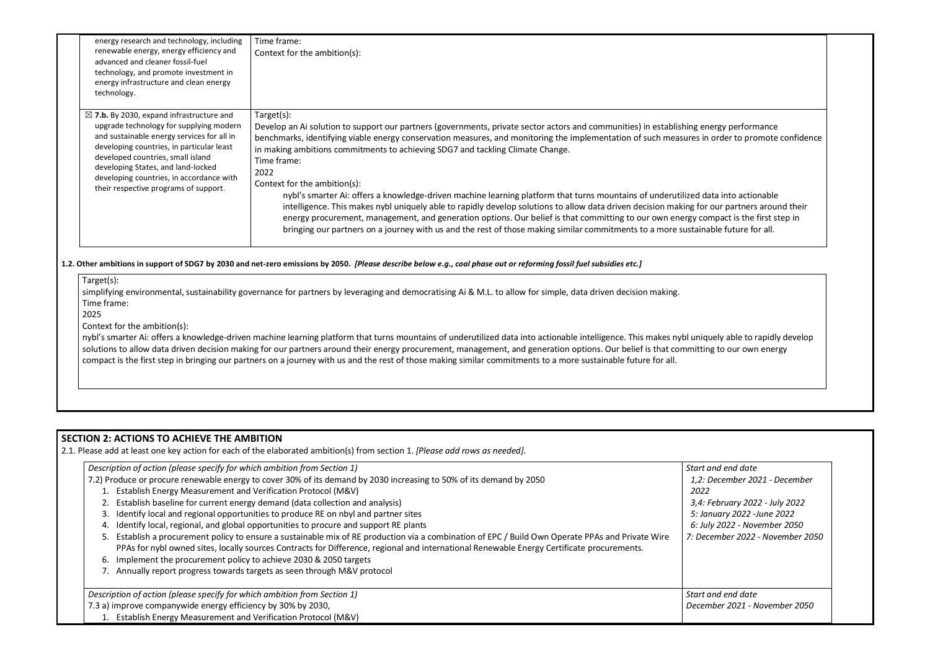| energy research and technology, including<br>renewable energy, energy efficiency and<br>advanced and cleaner fossil-fuel<br>technology, and promote investment in<br>energy infrastructure and clean energy<br>technology.                                                                                                                                | Time frame:<br>Context for the ambition(s):                                                                                                                                                                                                                                                                                                                                                                                                                                                                                                                                                                                                                                                                                                                                                                                                                           |
|-----------------------------------------------------------------------------------------------------------------------------------------------------------------------------------------------------------------------------------------------------------------------------------------------------------------------------------------------------------|-----------------------------------------------------------------------------------------------------------------------------------------------------------------------------------------------------------------------------------------------------------------------------------------------------------------------------------------------------------------------------------------------------------------------------------------------------------------------------------------------------------------------------------------------------------------------------------------------------------------------------------------------------------------------------------------------------------------------------------------------------------------------------------------------------------------------------------------------------------------------|
| $\boxtimes$ 7.b. By 2030, expand infrastructure and<br>upgrade technology for supplying modern<br>and sustainable energy services for all in<br>developing countries, in particular least<br>developed countries, small island<br>developing States, and land-locked<br>developing countries, in accordance with<br>their respective programs of support. | Target(s):<br>Develop an Ai solution to support our partners (governments, private sector actors and communities) in establishing e<br>benchmarks, identifying viable energy conservation measures, and monitoring the implementation of such measures i<br>in making ambitions commitments to achieving SDG7 and tackling Climate Change.<br>Time frame:<br>2022<br>Context for the ambition(s):<br>nybl's smarter Ai: offers a knowledge-driven machine learning platform that turns mountains of underutilized o<br>intelligence. This makes nybl uniquely able to rapidly develop solutions to allow data driven decision making fo<br>energy procurement, management, and generation options. Our belief is that committing to our own energy c<br>bringing our partners on a journey with us and the rest of those making similar commitments to a more sustair |

nybl's smarter Ai: offers a knowledge-driven machine learning platform that turns mountains of underutilized data into actionable intelligence. This makes nybl uniquely able to rapidly develop solutions to allow data driven decision making for our partners around their energy procurement, management, and generation options. Our belief is that committing to our own energy compact is the first step in bringing our partners on a journey with us and the rest of those making similar commitments to a more sustainable future for all.

#### **1.2. Other ambitions in support of SDG7 by 2030 and net-zero emissions by 2050.** *[Please describe below e.g., coal phase out or reforming fossil fuel subsidies etc.]*

Target(s):

simplifying environmental, sustainability governance for partners by leveraging and democratising Ai & M.L. to allow for simple, data driven decision making. Time frame:

2025

Context for the ambition(s):

## **SECTION 2: ACTIONS TO ACHIEVE THE AMBITION**

2.1. Please add at least one key action for each of the elaborated ambition(s) from section 1. *[Please add rows as needed].*

| Description of action (please specify for which ambition from Section 1)                                                                                                                                                                                                                        | Start             |
|-------------------------------------------------------------------------------------------------------------------------------------------------------------------------------------------------------------------------------------------------------------------------------------------------|-------------------|
| 7.2) Produce or procure renewable energy to cover 30% of its demand by 2030 increasing to 50% of its demand by 2050                                                                                                                                                                             | 1,2               |
| 1. Establish Energy Measurement and Verification Protocol (M&V)                                                                                                                                                                                                                                 | -202              |
| 2. Establish baseline for current energy demand (data collection and analysis)                                                                                                                                                                                                                  | 3,4               |
| 3. Identify local and regional opportunities to produce RE on nbyl and partner sites                                                                                                                                                                                                            | 5:J               |
| Identify local, regional, and global opportunities to procure and support RE plants<br>4.                                                                                                                                                                                                       | 6: J              |
| 5. Establish a procurement policy to ensure a sustainable mix of RE production via a combination of EPC / Build Own Operate PPAs and Private Wire<br>PPAs for nybl owned sites, locally sources Contracts for Difference, regional and international Renewable Energy Certificate procurements. | 7: D <sub>0</sub> |
| 6. Implement the procurement policy to achieve 2030 & 2050 targets                                                                                                                                                                                                                              |                   |
| 7. Annually report progress towards targets as seen through M&V protocol                                                                                                                                                                                                                        |                   |
| Description of action (please specify for which ambition from Section 1)                                                                                                                                                                                                                        | Start             |
| 7.3 a) improve companywide energy efficiency by 30% by 2030,                                                                                                                                                                                                                                    | Dece              |
| 1. Establish Energy Measurement and Verification Protocol (M&V)                                                                                                                                                                                                                                 |                   |

energy performance in order to promote confidence

data into actionable or our partners around their compact is the first step in hable future for all.

*Start and end date 1,2: December 2021 - December 2022 3,4: February 2022 - July 2022 5: January 2022 -June 2022*

*6: July 2022 - November 2050 7: December 2022 - November 2050*

*Start and end date December 2021 - November 2050*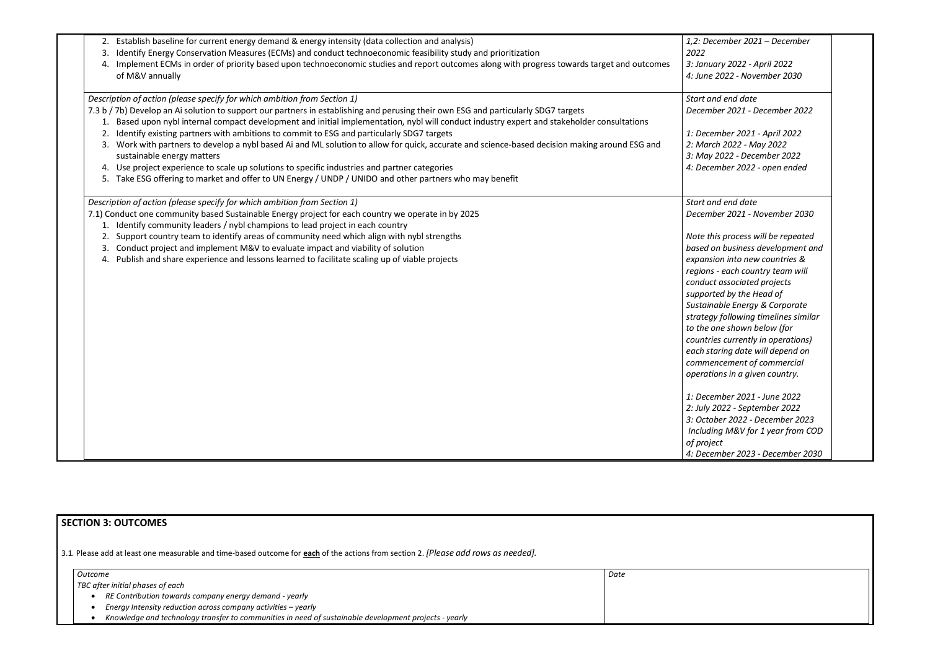|          | 2. Establish baseline for current energy demand & energy intensity (data collection and analysis)                                                                                                                                                                                  | 1,2: Dece.<br>2022      |
|----------|------------------------------------------------------------------------------------------------------------------------------------------------------------------------------------------------------------------------------------------------------------------------------------|-------------------------|
| 3.<br>4. | Identify Energy Conservation Measures (ECMs) and conduct technoeconomic feasibility study and prioritization<br>Implement ECMs in order of priority based upon technoeconomic studies and report outcomes along with progress towards target and outcomes<br>of M&V annually       | 3: Januar<br>4: June 20 |
|          | Description of action (please specify for which ambition from Section 1)                                                                                                                                                                                                           | Start and               |
|          | 7.3 b / 7b) Develop an Ai solution to support our partners in establishing and perusing their own ESG and particularly SDG7 targets<br>1. Based upon nybl internal compact development and initial implementation, nybl will conduct industry expert and stakeholder consultations | Decembe                 |
|          | Identify existing partners with ambitions to commit to ESG and particularly SDG7 targets                                                                                                                                                                                           | 1: Decem                |
| 3.       | Work with partners to develop a nybl based Ai and ML solution to allow for quick, accurate and science-based decision making around ESG and<br>sustainable energy matters                                                                                                          | 2: March<br>3: May 20   |
|          | Use project experience to scale up solutions to specific industries and partner categories                                                                                                                                                                                         | 4: Decem                |
|          | 5. Take ESG offering to market and offer to UN Energy / UNDP / UNIDO and other partners who may benefit                                                                                                                                                                            |                         |
|          | Description of action (please specify for which ambition from Section 1)                                                                                                                                                                                                           | Start and               |
|          | 7.1) Conduct one community based Sustainable Energy project for each country we operate in by 2025                                                                                                                                                                                 | <b>Decembe</b>          |
|          | 1. Identify community leaders / nybl champions to lead project in each country                                                                                                                                                                                                     |                         |
|          | 2. Support country team to identify areas of community need which align with nybl strengths                                                                                                                                                                                        | Note this               |
| 3.       | Conduct project and implement M&V to evaluate impact and viability of solution                                                                                                                                                                                                     | based on                |
| 4.       | Publish and share experience and lessons learned to facilitate scaling up of viable projects                                                                                                                                                                                       | expansior               |
|          |                                                                                                                                                                                                                                                                                    | regions -               |
|          |                                                                                                                                                                                                                                                                                    | conduct c               |
|          |                                                                                                                                                                                                                                                                                    | supported               |
|          |                                                                                                                                                                                                                                                                                    | Sustainab               |
|          |                                                                                                                                                                                                                                                                                    | strategy f              |
|          |                                                                                                                                                                                                                                                                                    | to the one              |
|          |                                                                                                                                                                                                                                                                                    | countries               |
|          |                                                                                                                                                                                                                                                                                    | each star.              |
|          |                                                                                                                                                                                                                                                                                    | commend                 |
|          |                                                                                                                                                                                                                                                                                    | operation               |
|          |                                                                                                                                                                                                                                                                                    | 1: Decem                |
|          |                                                                                                                                                                                                                                                                                    | 2: July 20              |
|          |                                                                                                                                                                                                                                                                                    | 3: Octobe               |
|          |                                                                                                                                                                                                                                                                                    | Including               |
|          |                                                                                                                                                                                                                                                                                    | of project              |
|          |                                                                                                                                                                                                                                                                                    | 4: Decem                |

| 1,2: December 2021 - December<br>2022 |  |
|---------------------------------------|--|
| 3: January 2022 - April 2022          |  |
| 4: June 2022 - November 2030          |  |
| Start and end date                    |  |
| December 2021 - December 2022         |  |
| 1: December 2021 - April 2022         |  |
| 2: March 2022 - May 2022              |  |
| 3: May 2022 - December 2022           |  |
| 4: December 2022 - open ended         |  |
| Start and end date                    |  |
| December 2021 - November 2030         |  |
| Note this process will be repeated    |  |
| based on business development and     |  |
| expansion into new countries &        |  |
| regions - each country team will      |  |
| conduct associated projects           |  |
| supported by the Head of              |  |
| Sustainable Energy & Corporate        |  |
| strategy following timelines similar  |  |
| to the one shown below (for           |  |
| countries currently in operations)    |  |
| each staring date will depend on      |  |
| commencement of commercial            |  |
| operations in a given country.        |  |
| 1: December 2021 - June 2022          |  |
| 2: July 2022 - September 2022         |  |
| 3: October 2022 - December 2023       |  |
| Including M&V for 1 year from COD     |  |
| of project                            |  |
| 4: December 2023 - December 2030      |  |



# **SECTION 3: OUTCOMES**

3.1*.* Please add at least one measurable and time-based outcome for **each** of the actions from section 2. *[Please add rows as needed].*

| Outcome |                                                                                                       | Date |
|---------|-------------------------------------------------------------------------------------------------------|------|
|         | TBC after initial phases of each                                                                      |      |
|         | RE Contribution towards company energy demand - yearly                                                |      |
|         | Energy Intensity reduction across company activities - yearly                                         |      |
|         | Knowledge and technology transfer to communities in need of sustainable development projects - yearly |      |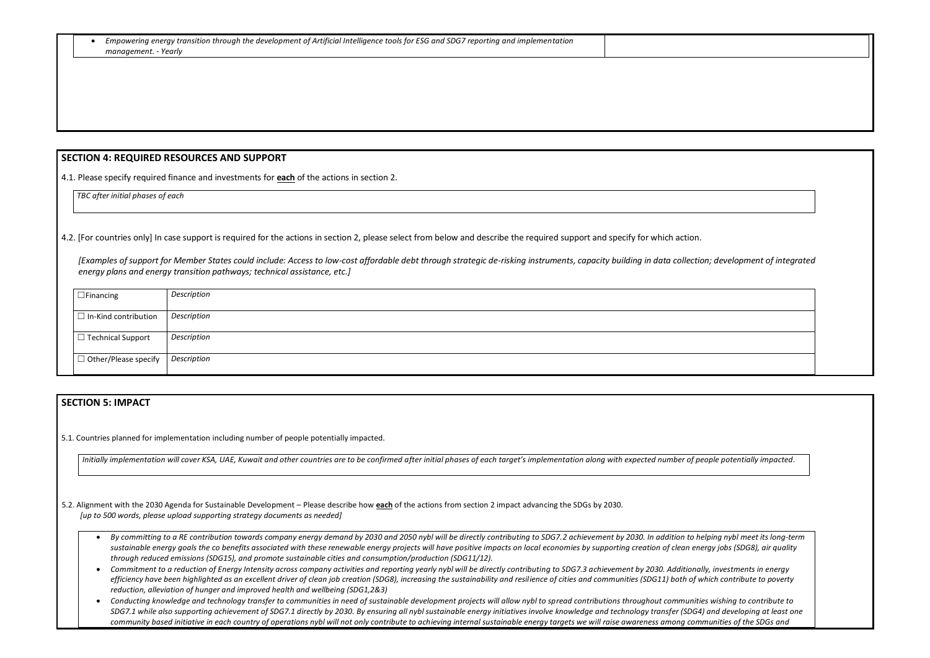| • Empowering energy transition through the development of Artificial Intelligence tools for ESG and SDG7 reporting and implementation |
|---------------------------------------------------------------------------------------------------------------------------------------|
| management. - Yearly                                                                                                                  |

### **SECTION 4: REQUIRED RESOURCES AND SUPPORT**

4.1. Please specify required finance and investments for **each** of the actions in section 2.

*TBC after initial phases of each*

4.2. [For countries only] In case support is required for the actions in section 2, please select from below and describe the required support and specify for which action.

*[Examples of support for Member States could include: Access to low-cost affordable debt through strategic de-risking instruments, capacity building in data collection; development of integrated energy plans and energy transition pathways; technical assistance, etc.]*

| $\Box$ Financing            | Description |
|-----------------------------|-------------|
| $\Box$ In-Kind contribution | Description |
| $\Box$ Technical Support    | Description |
| $\Box$ Other/Please specify | Description |

## **SECTION 5: IMPACT**

5.1. Countries planned for implementation including number of people potentially impacted.

Initially implementation will cover KSA, UAE, Kuwait and other countries are to be confirmed after initial phases of each target's implementation along with expected number of pe

5.2. Alignment with the 2030 Agenda for Sustainable Development – Please describe how **each** of the actions from section 2 impact advancing the SDGs by 2030. *[up to 500 words, please upload supporting strategy documents as needed]* 

- By committing to a RE contribution towards company energy demand by 2030 and 2050 nybl will be directly contributing to SDG7.2 achievement by 2030. In addition to he sustainable energy goals the co benefits associated with these renewable energy projects will have positive impacts on local economies by supporting creation of clean energy *through reduced emissions (SDG15), and promote sustainable cities and consumption/production (SDG11/12).*
- Commitment to a reduction of Energy Intensity across company activities and reporting yearly nybl will be directly contributing to SDG7.3 achievement by 2030. Additional efficiency have been highlighted as an excellent driver of clean job creation (SDG8), increasing the sustainability and resilience of cities and communities (SDG11) both of w *reduction, alleviation of hunger and improved health and wellbeing (SDG1,2&3)*
- Conducting knowledge and technology transfer to communities in need of sustainable development projects will allow nybl to spread contributions throughout communitie SDG7.1 while also supporting achievement of SDG7.1 directly by 2030. By ensuring all nybl sustainable energy initiatives involve knowledge and technology transfer (SDG4) community based initiative in each country of operations nybl will not only contribute to achieving internal sustainable energy targets we will raise awareness among comr



| ople potentially impacted.    |  |
|-------------------------------|--|
|                               |  |
|                               |  |
|                               |  |
| lping nybl meet its long-term |  |
| rgy jobs (SDG8), air quality  |  |
| ly, investments in energy     |  |
| hich contribute to poverty    |  |
| s wishing to contribute to    |  |
| and developing at least one   |  |
| munities of the SDGs and      |  |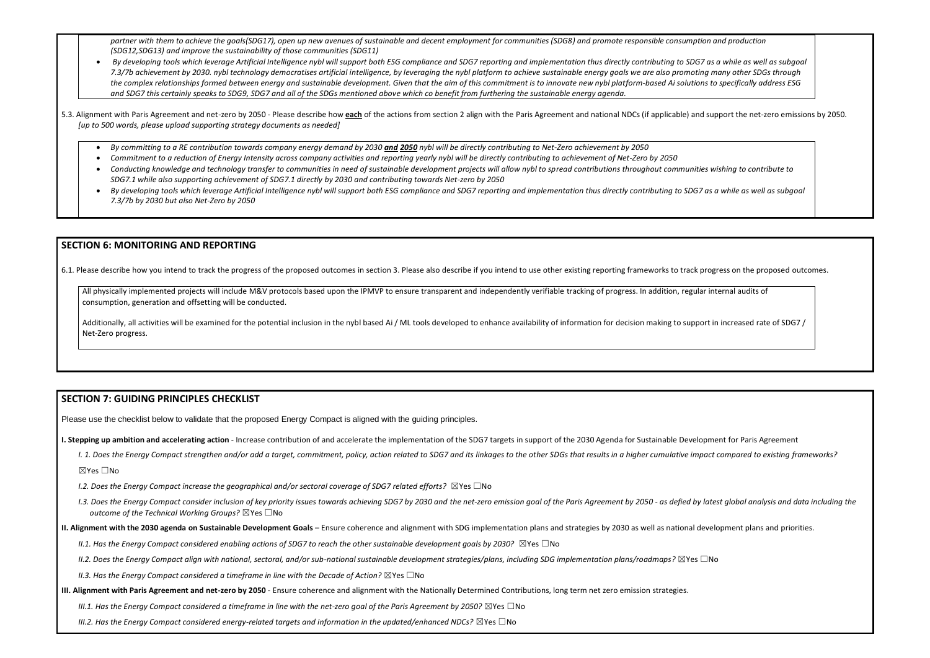partner with them to achieve the goals(SDG17), open up new avenues of sustainable and decent employment for communities (SDG8) and promote responsible consumption *(SDG12,SDG13) and improve the sustainability of those communities (SDG11)*

- *By developing tools which leverage Artificial Intelligence nybl will support both ESG compliance and SDG7 reporting and implementation thus directly contributing to SDG7 as a while as well as subgoal 7.3/7b achievement by 2030. nybl technology democratises artificial intelligence, by leveraging the nybl platform to achieve sustainable energy goals we are also promoting many other SDGs through the complex relationships formed between energy and sustainable development. Given that the aim of this commitment is to innovate new nybl platform-based Ai solutions to specifically address ESG and SDG7 this certainly speaks to SDG9, SDG7 and all of the SDGs mentioned above which co benefit from furthering the sustainable energy agenda.*
- 5.3. Alignment with Paris Agreement and net-zero by 2050 Please describe how each of the actions from section 2 align with the Paris Agreement and national NDCs (if applicable) and support the net-zero emissions by 2050. *[up to 500 words, please upload supporting strategy documents as needed]* 
	- *By committing to a RE contribution towards company energy demand by 2030 and 2050 nybl will be directly contributing to Net-Zero achievement by 2050*
	- *Commitment to a reduction of Energy Intensity across company activities and reporting yearly nybl will be directly contributing to achievement of Net-Zero by 2050*
	- *Conducting knowledge and technology transfer to communities in need of sustainable development projects will allow nybl to spread contributions throughout communities wishing to contribute to SDG7.1 while also supporting achievement of SDG7.1 directly by 2030 and contributing towards Net-zero by 2050*
	- *By developing tools which leverage Artificial Intelligence nybl will support both ESG compliance and SDG7 reporting and implementation thus directly contributing to SDG7 as a while as well as subgoal 7.3/7b by 2030 but also Net-Zero by 2050*

All physically implemented projects will include M&V protocols based upon the IPMVP to ensure transparent and independently verifiable tracking of progress. In addition, regular internal audits of consumption, generation and offsetting will be conducted.

Additionally, all activities will be examined for the potential inclusion in the nybl based Ai / ML tools developed to enhance availability of information for decision making to support in increased rate of SDG7 / Net-Zero progress.

## **SECTION 6: MONITORING AND REPORTING**

6.1. Please describe how you intend to track the progress of the proposed outcomes in section 3. Please also describe if you intend to use other existing reporting frameworks to track progress on the proposed outcomes.

## **SECTION 7: GUIDING PRINCIPLES CHECKLIST**

Please use the checklist below to validate that the proposed Energy Compact is aligned with the guiding principles.

- I. Stepping up ambition and accelerating action Increase contribution of and accelerate the implementation of the SDG7 targets in support of the 2030 Agenda for Sustainable Development for Paris Agreement
	- I. 1. Does the Energy Compact strengthen and/or add a target, commitment, policy, action related to SDG7 and its linkages to the other SDGs that results in a higher cumulative impact compared to existing frameworks?

☒Yes ☐No

- *I.2. Does the Energy Compact increase the geographical and/or sectoral coverage of SDG7 related efforts?* ⊠Yes □No
- I.3. Does the Energy Compact consider inclusion of key priority issues towards achieving SDG7 by 2030 and the net-zero emission goal of the Paris Agreement by 2050 as defied by latest global analysis and data including t *outcome of the Technical Working Groups?* ☒Yes ☐No
- **II. Alignment with the 2030 agenda on Sustainable Development Goals** Ensure coherence and alignment with SDG implementation plans and strategies by 2030 as well as national development plans and priorities.
	- *II.1. Has the Energy Compact considered enabling actions of SDG7 to reach the other sustainable development goals by 2030?* ⊠Yes □No
	- *II.2. Does the Energy Compact align with national, sectoral, and/or sub-national sustainable development strategies/plans, including SDG implementation plans/roadmaps?* ☒Yes ☐No
	- *II.3. Has the Energy Compact considered a timeframe in line with the Decade of Action?* ⊠Yes □No
- **III. Alignment with Paris Agreement and net-zero by 2050** Ensure coherence and alignment with the Nationally Determined Contributions, long term net zero emission strategies.
	- *III.1. Has the Energy Compact considered a timeframe in line with the net-zero goal of the Paris Agreement by 2050?* ⊠Yes □No

*III.2. Has the Energy Compact considered energy-related targets and information in the updated/enhanced NDCs?* ⊠Yes □No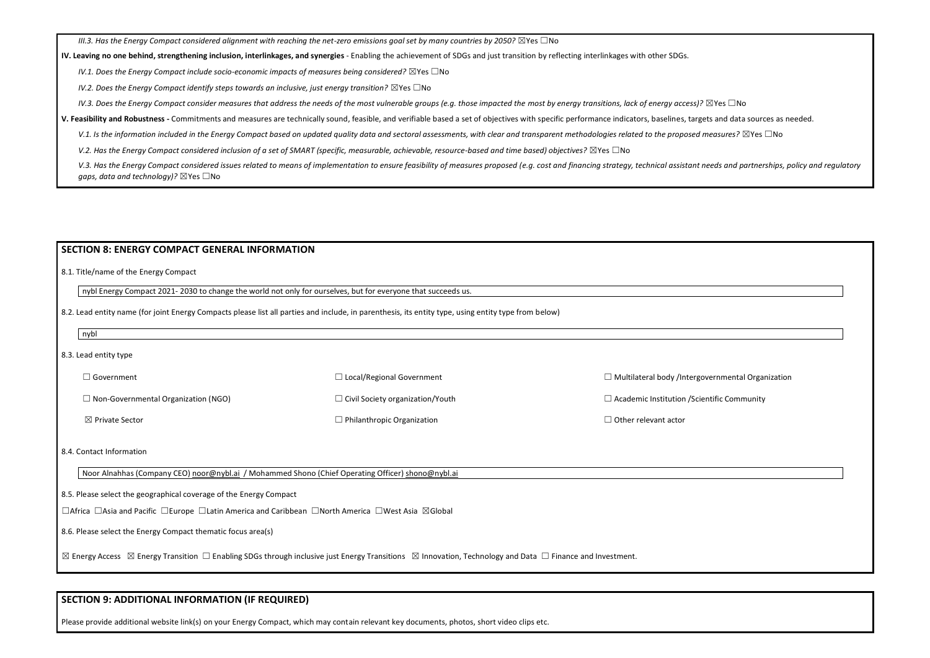*III.3. Has the Energy Compact considered alignment with reaching the net-zero emissions goal set by many countries by 2050?* ⊠Yes □No

#### **IV. Leaving no one behind, strengthening inclusion, interlinkages, and synergies** - Enabling the achievement of SDGs and just transition by reflecting interlinkages with other SDGs.

*IV.1. Does the Energy Compact include socio-economic impacts of measures being considered?* ⊠Yes □No

*IV.2. Does the Energy Compact identify steps towards an inclusive, just energy transition?* ⊠Yes □No

*IV.3. Does the Energy Compact consider measures that address the needs of the most vulnerable groups (e.g. those impacted the most by energy transitions, lack of energy access)?* ⊠Yes □No

| nybl Energy Compact 2021-2030 to change the world not only for ourselves, but for everyone that succeeds us.<br>8.2. Lead entity name (for joint Energy Compacts please list all parties and include, in parenthesis, its entity type, using entity type from below) |                                                          |
|----------------------------------------------------------------------------------------------------------------------------------------------------------------------------------------------------------------------------------------------------------------------|----------------------------------------------------------|
|                                                                                                                                                                                                                                                                      |                                                          |
|                                                                                                                                                                                                                                                                      |                                                          |
|                                                                                                                                                                                                                                                                      |                                                          |
|                                                                                                                                                                                                                                                                      |                                                          |
| $\Box$ Local/Regional Government                                                                                                                                                                                                                                     | $\Box$ Multilateral body /Intergovernmental Organization |
| $\Box$ Civil Society organization/Youth                                                                                                                                                                                                                              | $\Box$ Academic Institution / Scientific Community       |
| $\Box$ Philanthropic Organization                                                                                                                                                                                                                                    | $\Box$ Other relevant actor                              |
|                                                                                                                                                                                                                                                                      |                                                          |
| Noor Alnahhas (Company CEO) noor@nybl.ai / Mohammed Shono (Chief Operating Officer) shono@nybl.ai                                                                                                                                                                    |                                                          |
| 8.5. Please select the geographical coverage of the Energy Compact                                                                                                                                                                                                   |                                                          |
| □ Africa □ Asia and Pacific □ Europe □ Latin America and Caribbean □ North America □ West Asia ⊠ Global                                                                                                                                                              |                                                          |
|                                                                                                                                                                                                                                                                      |                                                          |
| $\boxtimes$ Energy Access $\boxtimes$ Energy Transition $\Box$ Enabling SDGs through inclusive just Energy Transitions $\boxtimes$ Innovation, Technology and Data $\Box$ Finance and Investment.                                                                    |                                                          |
|                                                                                                                                                                                                                                                                      |                                                          |

**V. Feasibility and Robustness -** Commitments and measures are technically sound, feasible, and verifiable based a set of objectives with specific performance indicators, baselines, targets and data sources as needed.

V.1. Is the information included in the Energy Compact based on updated quality data and sectoral assessments, with clear and transparent methodologies related to the proposed measures? ⊠Yes □No

*V.2. Has the Energy Compact considered inclusion of a set of SMART (specific, measurable, achievable, resource-based and time based) objectives?* ⊠Yes □No

V.3. Has the Energy Compact considered issues related to means of implementation to ensure feasibility of measures proposed (e.g. cost and financing strategy, technical assistant needs and partnerships, policy and regulato *gaps, data and technology)?* ⊠Yes □No

## **SECTION 9: ADDITIONAL INFORMATION (IF REQUIRED)**

Please provide additional website link(s) on your Energy Compact, which may contain relevant key documents, photos, short video clips etc.